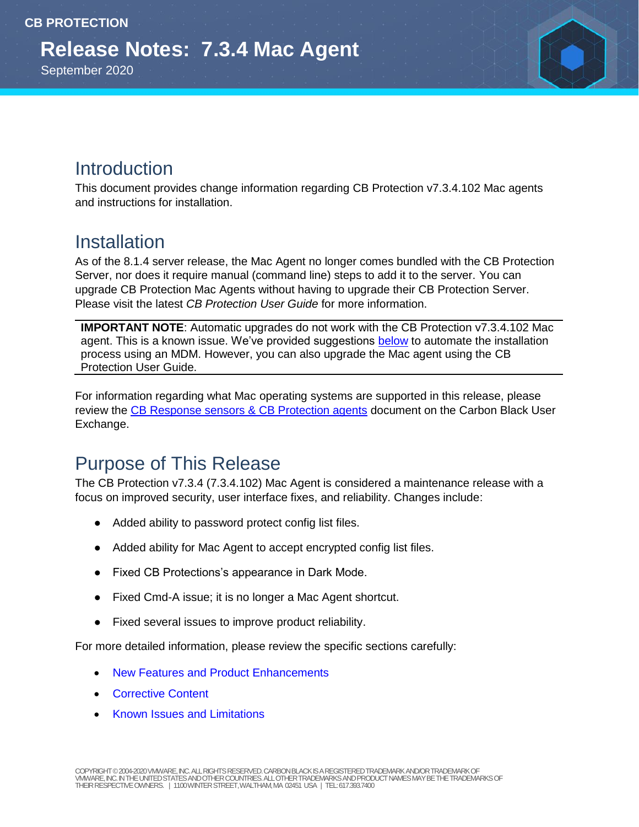September 2020

#### Introduction

This document provides change information regarding CB Protection v7.3.4.102 Mac agents and instructions for installation.

#### **Installation**

As of the 8.1.4 server release, the Mac Agent no longer comes bundled with the CB Protection Server, nor does it require manual (command line) steps to add it to the server. You can upgrade CB Protection Mac Agents without having to upgrade their CB Protection Server. Please visit the latest *CB Protection User Guide* for more information.

**IMPORTANT NOTE:** Automatic upgrades do not work with the CB Protection v7.3.4.102 Mac agent. This is a known issue. We've provided suggestions [below](#page-1-0) to automate the installation process using an MDM. However, you can also upgrade the Mac agent using the CB Protection User Guide.

For information regarding what Mac operating systems are supported in this release, please review the [CB Response sensors & CB Protection agents](https://community.carbonblack.com/t5/Documentation-Downloads/CB-Response-sensors-amp-CB-Protection-agents/ta-p/33041) document on the Carbon Black User Exchange.

## Purpose of This Release

The CB Protection v7.3.4 (7.3.4.102) Mac Agent is considered a maintenance release with a focus on improved security, user interface fixes, and reliability. Changes include:

- Added ability to password protect config list files.
- Added ability for Mac Agent to accept encrypted config list files.
- Fixed CB Protections's appearance in Dark Mode.
- Fixed Cmd-A issue; it is no longer a Mac Agent shortcut.
- Fixed several issues to improve product reliability.

For more detailed information, please review the specific sections carefully:

- [New Features and Product Enhancements](#page-1-1)
- [Corrective Content](#page-3-0)
- [Known Issues and Limitations](#page-5-0)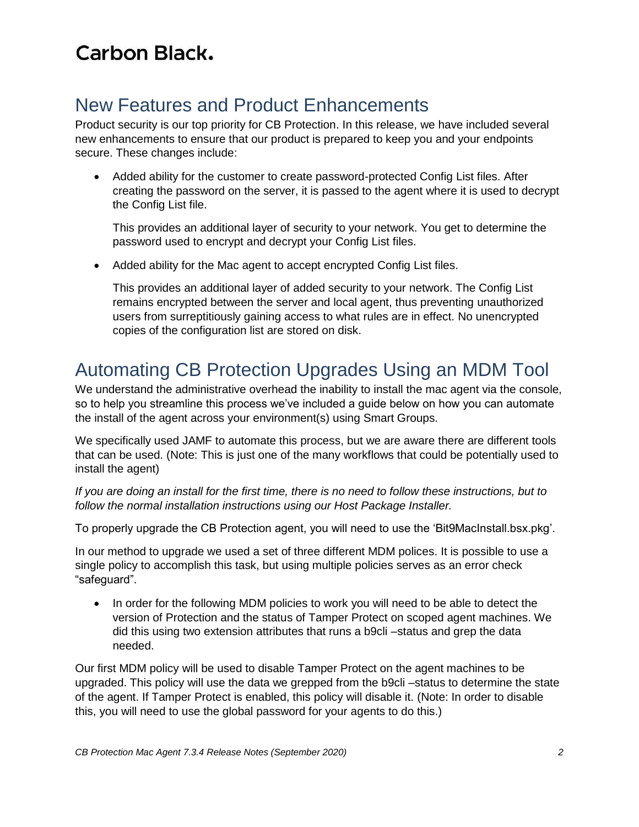#### <span id="page-1-1"></span>New Features and Product Enhancements

Product security is our top priority for CB Protection. In this release, we have included several new enhancements to ensure that our product is prepared to keep you and your endpoints secure. These changes include:

 Added ability for the customer to create password-protected Config List files. After creating the password on the server, it is passed to the agent where it is used to decrypt the Config List file.

This provides an additional layer of security to your network. You get to determine the password used to encrypt and decrypt your Config List files.

Added ability for the Mac agent to accept encrypted Config List files.

This provides an additional layer of added security to your network. The Config List remains encrypted between the server and local agent, thus preventing unauthorized users from surreptitiously gaining access to what rules are in effect. No unencrypted copies of the configuration list are stored on disk.

## <span id="page-1-0"></span>Automating CB Protection Upgrades Using an MDM Tool

We understand the administrative overhead the inability to install the mac agent via the console, so to help you streamline this process we've included a guide below on how you can automate the install of the agent across your environment(s) using Smart Groups.

We specifically used JAMF to automate this process, but we are aware there are different tools that can be used. (Note: This is just one of the many workflows that could be potentially used to install the agent)

*If you are doing an install for the first time, there is no need to follow these instructions, but to follow the normal installation instructions using our Host Package Installer.*

To properly upgrade the CB Protection agent, you will need to use the 'Bit9MacInstall.bsx.pkg'.

In our method to upgrade we used a set of three different MDM polices. It is possible to use a single policy to accomplish this task, but using multiple policies serves as an error check "safeguard".

 In order for the following MDM policies to work you will need to be able to detect the version of Protection and the status of Tamper Protect on scoped agent machines. We did this using two extension attributes that runs a b9cli –status and grep the data needed.

Our first MDM policy will be used to disable Tamper Protect on the agent machines to be upgraded. This policy will use the data we grepped from the b9cli-status to determine the state of the agent. If Tamper Protect is enabled, this policy will disable it. (Note: In order to disable this, you will need to use the global password for your agents to do this.)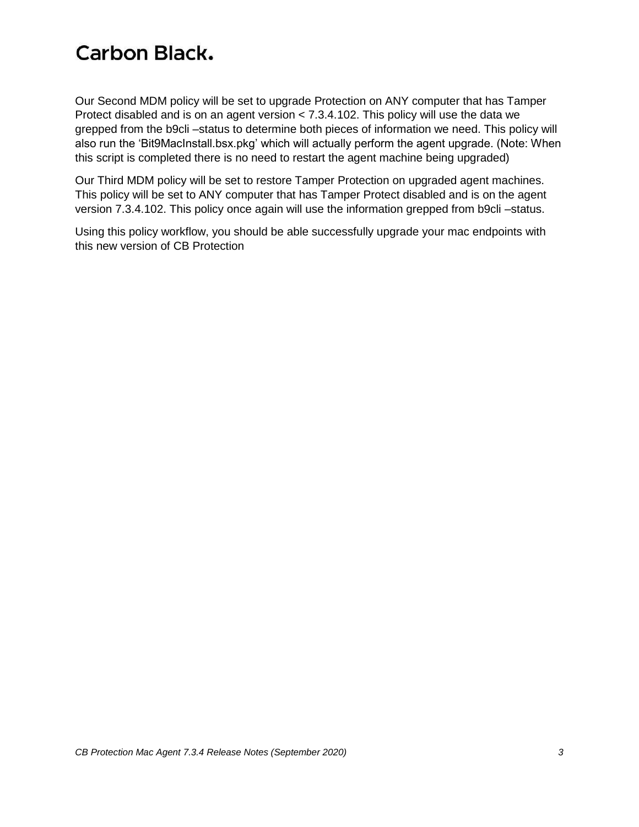Our Second MDM policy will be set to upgrade Protection on ANY computer that has Tamper Protect disabled and is on an agent version < 7.3.4.102. This policy will use the data we grepped from the b9cli –status to determine both pieces of information we need. This policy will also run the 'Bit9MacInstall.bsx.pkg' which will actually perform the agent upgrade. (Note: When this script is completed there is no need to restart the agent machine being upgraded)

Our Third MDM policy will be set to restore Tamper Protection on upgraded agent machines. This policy will be set to ANY computer that has Tamper Protect disabled and is on the agent version 7.3.4.102. This policy once again will use the information grepped from b9cli –status.

Using this policy workflow, you should be able successfully upgrade your mac endpoints with this new version of CB Protection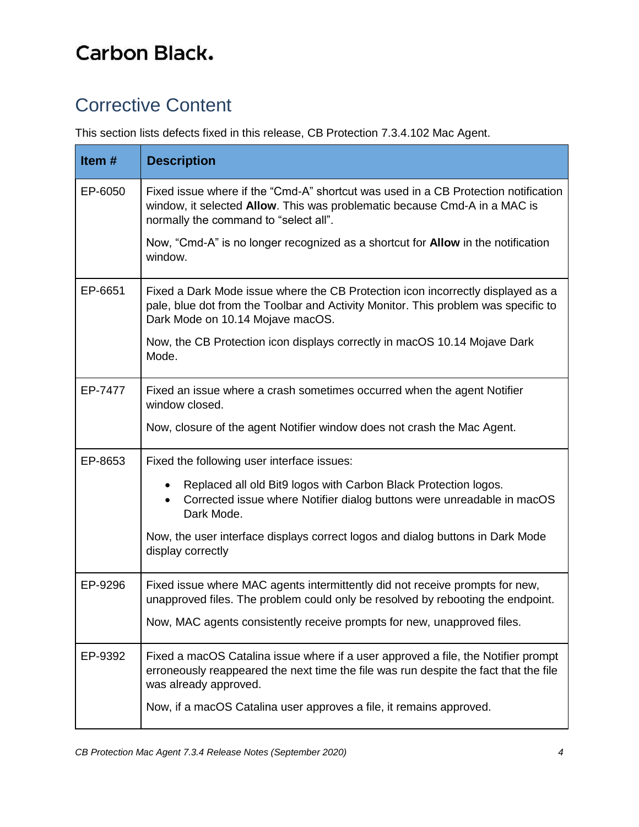# <span id="page-3-0"></span>Corrective Content

This section lists defects fixed in this release, CB Protection 7.3.4.102 Mac Agent.

| Item $#$ | <b>Description</b>                                                                                                                                                                                        |
|----------|-----------------------------------------------------------------------------------------------------------------------------------------------------------------------------------------------------------|
| EP-6050  | Fixed issue where if the "Cmd-A" shortcut was used in a CB Protection notification<br>window, it selected Allow. This was problematic because Cmd-A in a MAC is<br>normally the command to "select all".  |
|          | Now, "Cmd-A" is no longer recognized as a shortcut for <b>Allow</b> in the notification<br>window.                                                                                                        |
| EP-6651  | Fixed a Dark Mode issue where the CB Protection icon incorrectly displayed as a<br>pale, blue dot from the Toolbar and Activity Monitor. This problem was specific to<br>Dark Mode on 10.14 Mojave macOS. |
|          | Now, the CB Protection icon displays correctly in macOS 10.14 Mojave Dark<br>Mode.                                                                                                                        |
| EP-7477  | Fixed an issue where a crash sometimes occurred when the agent Notifier<br>window closed.                                                                                                                 |
|          | Now, closure of the agent Notifier window does not crash the Mac Agent.                                                                                                                                   |
| EP-8653  | Fixed the following user interface issues:                                                                                                                                                                |
|          | Replaced all old Bit9 logos with Carbon Black Protection logos.<br>Corrected issue where Notifier dialog buttons were unreadable in macOS<br>Dark Mode.                                                   |
|          | Now, the user interface displays correct logos and dialog buttons in Dark Mode<br>display correctly                                                                                                       |
| EP-9296  | Fixed issue where MAC agents intermittently did not receive prompts for new,<br>unapproved files. The problem could only be resolved by rebooting the endpoint.                                           |
|          | Now, MAC agents consistently receive prompts for new, unapproved files.                                                                                                                                   |
| EP-9392  | Fixed a macOS Catalina issue where if a user approved a file, the Notifier prompt<br>erroneously reappeared the next time the file was run despite the fact that the file<br>was already approved.        |
|          | Now, if a macOS Catalina user approves a file, it remains approved.                                                                                                                                       |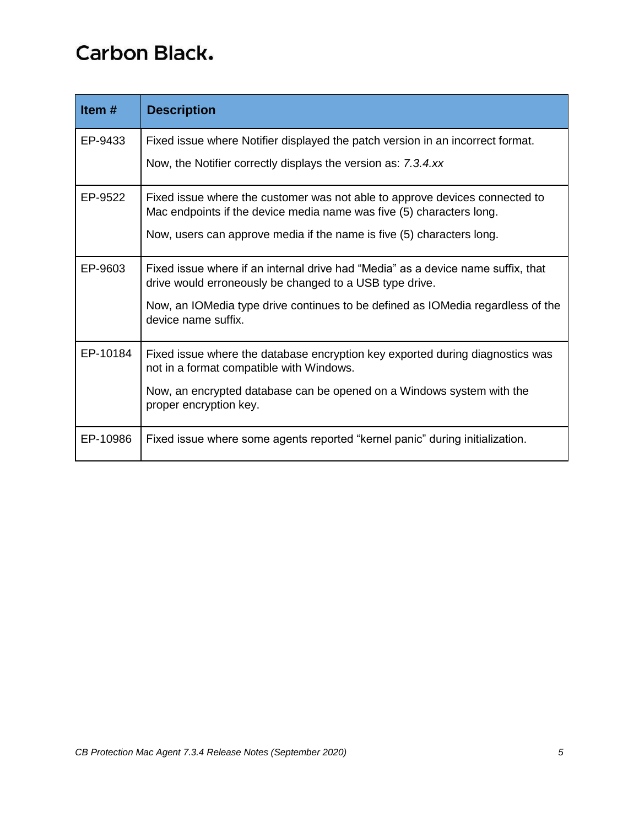| Item#    | <b>Description</b>                                                                                                                                  |
|----------|-----------------------------------------------------------------------------------------------------------------------------------------------------|
| EP-9433  | Fixed issue where Notifier displayed the patch version in an incorrect format.                                                                      |
|          | Now, the Notifier correctly displays the version as: 7.3.4.xx                                                                                       |
| EP-9522  | Fixed issue where the customer was not able to approve devices connected to<br>Mac endpoints if the device media name was five (5) characters long. |
|          | Now, users can approve media if the name is five (5) characters long.                                                                               |
| EP-9603  | Fixed issue where if an internal drive had "Media" as a device name suffix, that<br>drive would erroneously be changed to a USB type drive.         |
|          | Now, an IOMedia type drive continues to be defined as IOMedia regardless of the<br>device name suffix.                                              |
| EP-10184 | Fixed issue where the database encryption key exported during diagnostics was<br>not in a format compatible with Windows.                           |
|          | Now, an encrypted database can be opened on a Windows system with the<br>proper encryption key.                                                     |
| EP-10986 | Fixed issue where some agents reported "kernel panic" during initialization.                                                                        |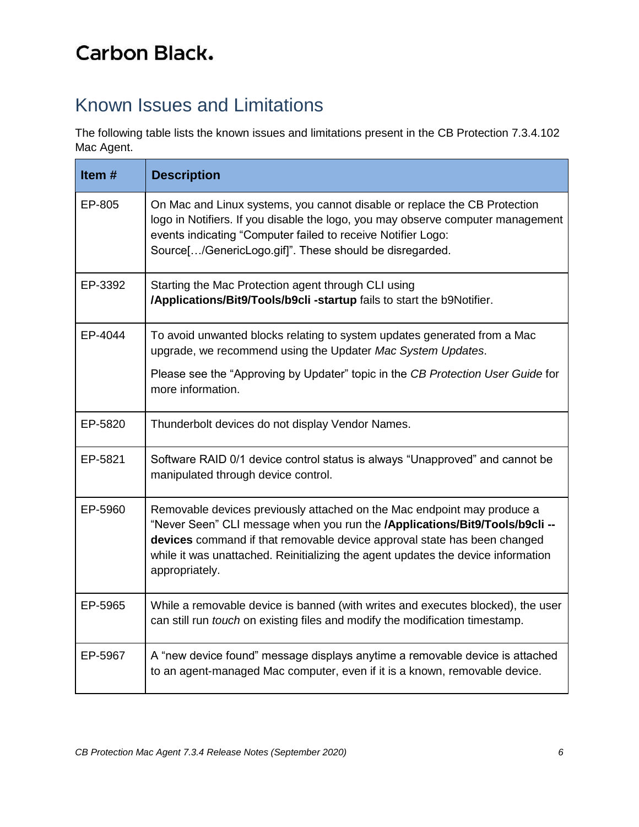# <span id="page-5-0"></span>Known Issues and Limitations

The following table lists the known issues and limitations present in the CB Protection 7.3.4.102 Mac Agent.

| Item#   | <b>Description</b>                                                                                                                                                                                                                                                                                                                       |
|---------|------------------------------------------------------------------------------------------------------------------------------------------------------------------------------------------------------------------------------------------------------------------------------------------------------------------------------------------|
| EP-805  | On Mac and Linux systems, you cannot disable or replace the CB Protection<br>logo in Notifiers. If you disable the logo, you may observe computer management<br>events indicating "Computer failed to receive Notifier Logo:<br>Source[/GenericLogo.gif]". These should be disregarded.                                                  |
| EP-3392 | Starting the Mac Protection agent through CLI using<br>/Applications/Bit9/Tools/b9cli-startup fails to start the b9Notifier.                                                                                                                                                                                                             |
| EP-4044 | To avoid unwanted blocks relating to system updates generated from a Mac<br>upgrade, we recommend using the Updater Mac System Updates.                                                                                                                                                                                                  |
|         | Please see the "Approving by Updater" topic in the CB Protection User Guide for<br>more information.                                                                                                                                                                                                                                     |
| EP-5820 | Thunderbolt devices do not display Vendor Names.                                                                                                                                                                                                                                                                                         |
| EP-5821 | Software RAID 0/1 device control status is always "Unapproved" and cannot be<br>manipulated through device control.                                                                                                                                                                                                                      |
| EP-5960 | Removable devices previously attached on the Mac endpoint may produce a<br>"Never Seen" CLI message when you run the /Applications/Bit9/Tools/b9cli --<br>devices command if that removable device approval state has been changed<br>while it was unattached. Reinitializing the agent updates the device information<br>appropriately. |
| EP-5965 | While a removable device is banned (with writes and executes blocked), the user<br>can still run touch on existing files and modify the modification timestamp.                                                                                                                                                                          |
| EP-5967 | A "new device found" message displays anytime a removable device is attached<br>to an agent-managed Mac computer, even if it is a known, removable device.                                                                                                                                                                               |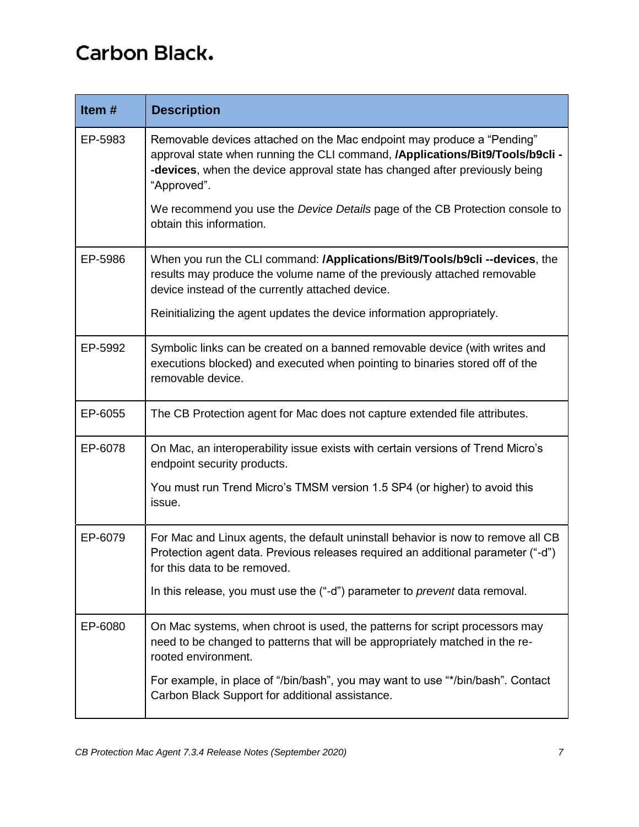| Item#   | <b>Description</b>                                                                                                                                                                                                                                    |
|---------|-------------------------------------------------------------------------------------------------------------------------------------------------------------------------------------------------------------------------------------------------------|
| EP-5983 | Removable devices attached on the Mac endpoint may produce a "Pending"<br>approval state when running the CLI command, /Applications/Bit9/Tools/b9cli -<br>-devices, when the device approval state has changed after previously being<br>"Approved". |
|         | We recommend you use the Device Details page of the CB Protection console to<br>obtain this information.                                                                                                                                              |
| EP-5986 | When you run the CLI command: /Applications/Bit9/Tools/b9cli --devices, the<br>results may produce the volume name of the previously attached removable<br>device instead of the currently attached device.                                           |
|         | Reinitializing the agent updates the device information appropriately.                                                                                                                                                                                |
| EP-5992 | Symbolic links can be created on a banned removable device (with writes and<br>executions blocked) and executed when pointing to binaries stored off of the<br>removable device.                                                                      |
| EP-6055 | The CB Protection agent for Mac does not capture extended file attributes.                                                                                                                                                                            |
| EP-6078 | On Mac, an interoperability issue exists with certain versions of Trend Micro's<br>endpoint security products.                                                                                                                                        |
|         | You must run Trend Micro's TMSM version 1.5 SP4 (or higher) to avoid this<br>issue.                                                                                                                                                                   |
| EP-6079 | For Mac and Linux agents, the default uninstall behavior is now to remove all CB<br>Protection agent data. Previous releases required an additional parameter ("-d")<br>for this data to be removed.                                                  |
|         | In this release, you must use the ("-d") parameter to prevent data removal.                                                                                                                                                                           |
| EP-6080 | On Mac systems, when chroot is used, the patterns for script processors may<br>need to be changed to patterns that will be appropriately matched in the re-<br>rooted environment.                                                                    |
|         | For example, in place of "/bin/bash", you may want to use "*/bin/bash". Contact<br>Carbon Black Support for additional assistance.                                                                                                                    |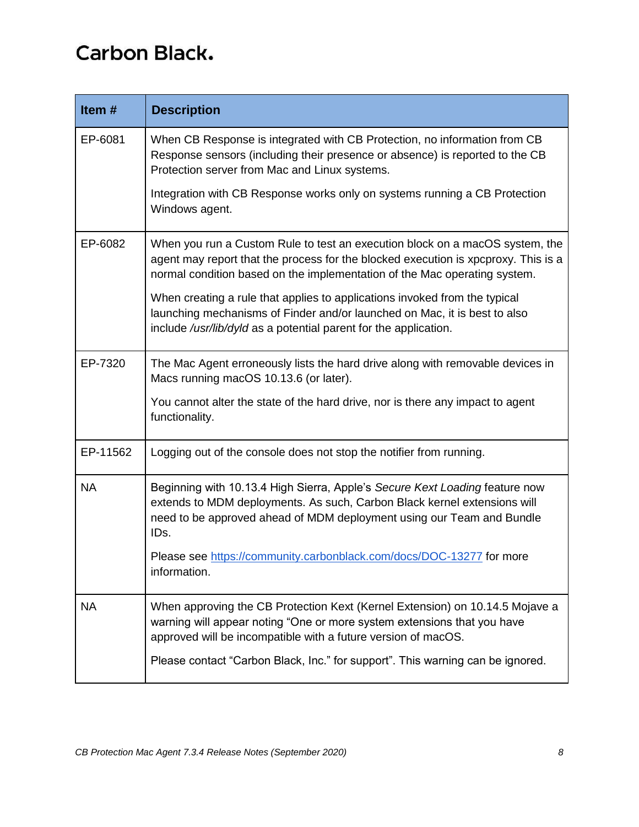| Item#     | <b>Description</b>                                                                                                                                                                                                                              |
|-----------|-------------------------------------------------------------------------------------------------------------------------------------------------------------------------------------------------------------------------------------------------|
| EP-6081   | When CB Response is integrated with CB Protection, no information from CB<br>Response sensors (including their presence or absence) is reported to the CB<br>Protection server from Mac and Linux systems.                                      |
|           | Integration with CB Response works only on systems running a CB Protection<br>Windows agent.                                                                                                                                                    |
| EP-6082   | When you run a Custom Rule to test an execution block on a macOS system, the<br>agent may report that the process for the blocked execution is xpcproxy. This is a<br>normal condition based on the implementation of the Mac operating system. |
|           | When creating a rule that applies to applications invoked from the typical<br>launching mechanisms of Finder and/or launched on Mac, it is best to also<br>include /usr/lib/dyld as a potential parent for the application.                     |
| EP-7320   | The Mac Agent erroneously lists the hard drive along with removable devices in<br>Macs running macOS 10.13.6 (or later).                                                                                                                        |
|           | You cannot alter the state of the hard drive, nor is there any impact to agent<br>functionality.                                                                                                                                                |
| EP-11562  | Logging out of the console does not stop the notifier from running.                                                                                                                                                                             |
| <b>NA</b> | Beginning with 10.13.4 High Sierra, Apple's Secure Kext Loading feature now<br>extends to MDM deployments. As such, Carbon Black kernel extensions will<br>need to be approved ahead of MDM deployment using our Team and Bundle<br>IDs.        |
|           | Please see https://community.carbonblack.com/docs/DOC-13277 for more<br>information.                                                                                                                                                            |
| <b>NA</b> | When approving the CB Protection Kext (Kernel Extension) on 10.14.5 Mojave a<br>warning will appear noting "One or more system extensions that you have<br>approved will be incompatible with a future version of macOS.                        |
|           | Please contact "Carbon Black, Inc." for support". This warning can be ignored.                                                                                                                                                                  |